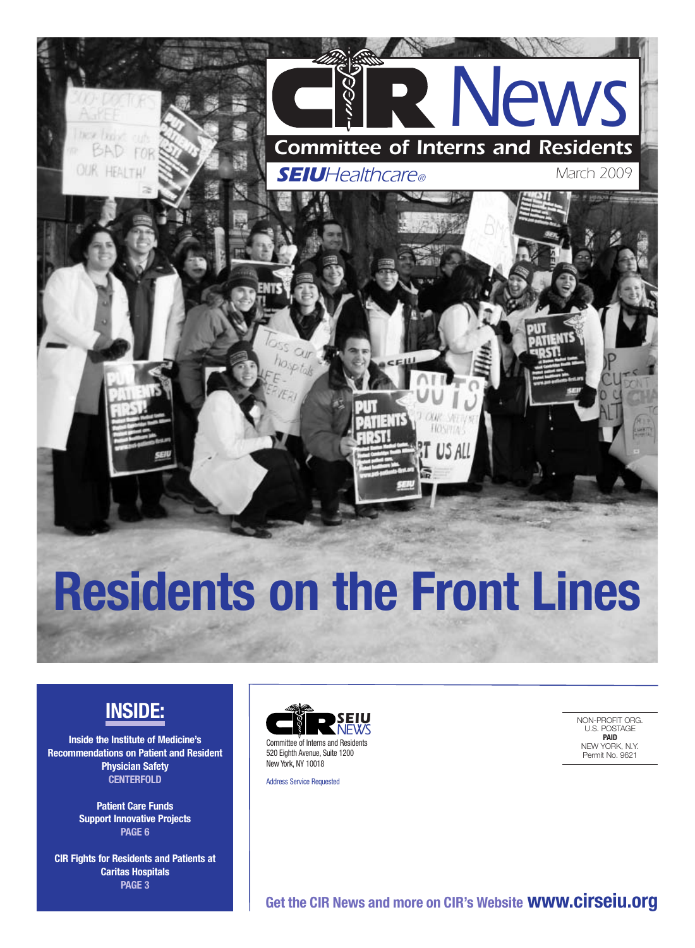

# **Residents on the Front Lines**

### **INSIDE:**

**Inside the Institute of Medicine's Recommendations on Patient and Resident Physician Safety CENTERFOLD**

> **Patient Care Funds Support Innovative Projects PAGE 6**

**CIR Fights for Residents and Patients at Caritas Hospitals PAGE 3**



Address Service Requested

NON-PROFIT ORG. U.S. POSTAGE **PAID** NEW YORK, N.Y. Permit No. 9621

**Get the CIR News and more on CIR's Website www.cirseiu.org**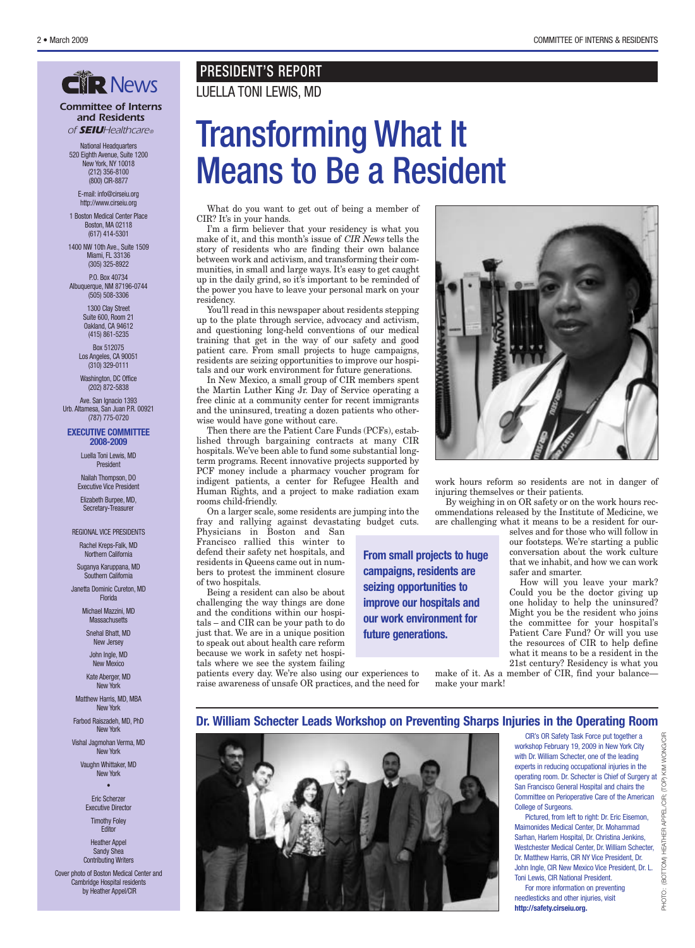#### *Committee of Interns and Residents of SEIUHealthcare®*

National Headquarters 520 Eighth Avenue, Suite 1200 New York, NY 10018 (212) 356-8100 (800) CIR-8877

E-mail: info@cirseiu.org http://www.cirseiu.org

1 Boston Medical Center Place Boston, MA 02118 (617) 414-5301

1400 NW 10th Ave., Suite 1509 Miami, FL 33136 (305) 325-8922

P.O. Box 40734 Albuquerque, NM 87196-0744 (505) 508-3306

> 1300 Clay Street Suite 600, Room 21 Oakland, CA 94612

(415) 861-5235 Box 512075

Los Angeles, CA 90051 (310) 329-0111 Washington, DC Office

(202) 872-5838

Ave. San Ignacio 1393 Urb. Altamesa, San Juan P.R. 00921 (787) 775-0720

#### **EXECUTIVE COMMITTEE 2008-2009**

Luella Toni Lewis, MD President

Nailah Thompson, DO Executive Vice President

Elizabeth Burpee, MD, Secretary-Treasurer

#### REGIONAL VICE PRESIDENTS

Rachel Kreps-Falk, MD Northern California

Suganya Karuppana, MD Southern California

Janetta Dominic Cureton, MD Florida

> Michael Mazzini, MD **Massachusetts**

> > Snehal Bhatt, MD New Jersey John Ingle, MD

> > New Mexico Kate Aberger, MD

New York

Matthew Harris, MD, MBA New York

Farbod Raiszadeh, MD, PhD New York

Vishal Jagmohan Verma, MD New York

> Vaughn Whittaker, MD New York •

Eric Scherzer Executive Director Timothy Foley

**Editor** Heather Appel

Sandy Shea Contributing Writers Cover photo of Boston Medical Center and

Cambridge Hospital residents by Heather Appel/CIR

#### PRESIDENT'S REPORT **CHR** News LUELLA TONI LEWIS, MD

## Transforming What It Means to Be a Resident

What do you want to get out of being a member of CIR? It's in your hands.

I'm a firm believer that your residency is what you make of it, and this month's issue of CIR News tells the story of residents who are finding their own balance between work and activism, and transforming their communities, in small and large ways. It's easy to get caught up in the daily grind, so it's important to be reminded of the power you have to leave your personal mark on your residency.

You'll read in this newspaper about residents stepping up to the plate through service, advocacy and activism, and questioning long-held conventions of our medical training that get in the way of our safety and good patient care. From small projects to huge campaigns, residents are seizing opportunities to improve our hospitals and our work environment for future generations.

In New Mexico, a small group of CIR members spent the Martin Luther King Jr. Day of Service operating a free clinic at a community center for recent immigrants and the uninsured, treating a dozen patients who otherwise would have gone without care.

Then there are the Patient Care Funds (PCFs), established through bargaining contracts at many CIR hospitals. We've been able to fund some substantial longterm programs. Recent innovative projects supported by PCF money include a pharmacy voucher program for indigent patients, a center for Refugee Health and Human Rights, and a project to make radiation exam rooms child-friendly.

On a larger scale, some residents are jumping into the fray and rallying against devastating budget cuts.

Physicians in Boston and San Francisco rallied this winter to defend their safety net hospitals, and residents in Queens came out in numbers to protest the imminent closure of two hospitals.

Being a resident can also be about challenging the way things are done and the conditions within our hospitals – and CIR can be your path to do just that. We are in a unique position to speak out about health care reform because we work in safety net hospitals where we see the system failing

patients every day. We're also using our experiences to raise awareness of unsafe OR practices, and the need for



work hours reform so residents are not in danger of injuring themselves or their patients.

By weighing in on OR safety or on the work hours recommendations released by the Institute of Medicine, we are challenging what it means to be a resident for our-

selves and for those who will follow in our footsteps. We're starting a public conversation about the work culture that we inhabit, and how we can work safer and smarter.

How will you leave your mark? Could you be the doctor giving up one holiday to help the uninsured? Might you be the resident who joins the committee for your hospital's Patient Care Fund? Or will you use the resources of CIR to help define what it means to be a resident in the 21st century? Residency is what you

make of it. As a member of CIR, find your balance make your mark!

#### **Dr. William Schecter Leads Workshop on Preventing Sharps Injuries in the Operating Room**

**From small projects to huge campaigns, residents are seizing opportunities to improve our hospitals and our work environment for**

**future generations.**



CIR's OR Safety Task Force put together a workshop February 19, 2009 in New York City with Dr. William Schecter, one of the leading experts in reducing occupational injuries in the operating room. Dr. Schecter is Chief of Surgery at San Francisco General Hospital and chairs the Committee on Perioperative Care of the American College of Surgeons.

Pictured, from left to right: Dr. Eric Eisemon, Maimonides Medical Center, Dr. Mohammad Sarhan, Harlem Hospital, Dr. Christina Jenkins, Westchester Medical Center, Dr. William Schecter, Dr. Matthew Harris, CIR NY Vice President, Dr. John Ingle, CIR New Mexico Vice President, Dr. L. Toni Lewis, CIR National President.

For more information on preventing needlesticks and other injuries, visit **http://safety.cirseiu.org.**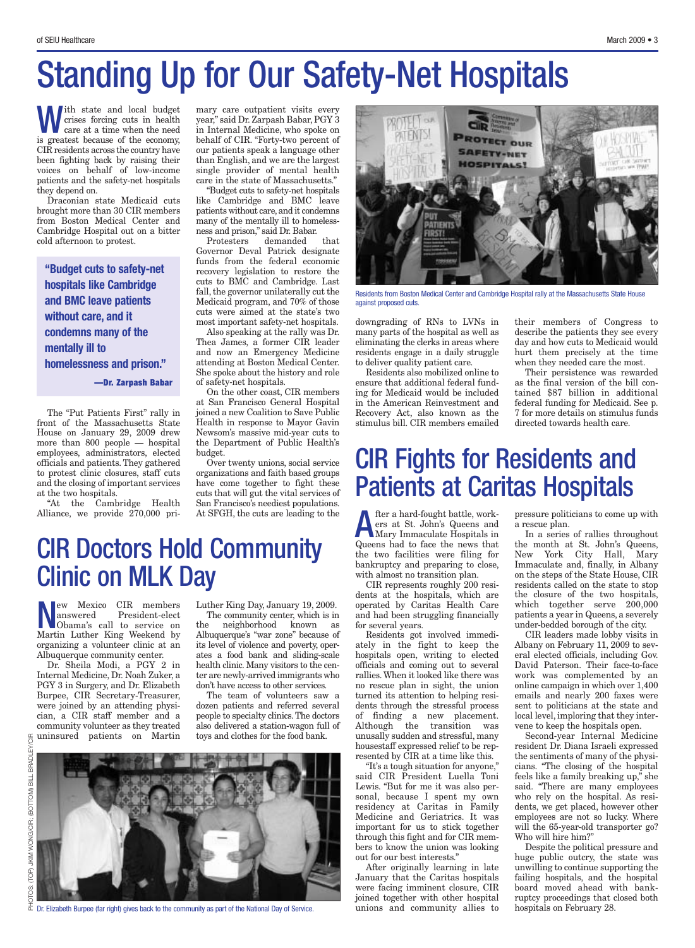## Standing Up for Our Safety-Net Hospitals

With state and local budget<br>crises forcing cuts in health<br>care at a time when the need<br>is greated because of the connexu crises forcing cuts in health care at a time when the need is greatest because of the economy, CIR residents across the country have been fighting back by raising their voices on behalf of low-income patients and the safety-net hospitals they depend on.

Draconian state Medicaid cuts brought more than 30 CIR members from Boston Medical Center and Cambridge Hospital out on a bitter cold afternoon to protest.

**"Budget cuts to safety-net hospitals like Cambridge and BMC leave patients without care, and it condemns many of the mentally ill to homelessness and prison." —Dr. Zarpash Babar**

The "Put Patients First" rally in front of the Massachusetts State House on January 29, 2009 drew more than 800 people — hospital employees, administrators, elected officials and patients. They gathered to protest clinic closures, staff cuts and the closing of important services at the two hospitals.

"At the Cambridge Health Alliance, we provide 270,000 pri-

mary care outpatient visits every year," said Dr. Zarpash Babar, PGY 3 in Internal Medicine, who spoke on behalf of CIR. "Forty-two percent of our patients speak a language other than English, and we are the largest single provider of mental health care in the state of Massachusetts."

"Budget cuts to safety-net hospitals like Cambridge and BMC leave patients without care, and it condemns many of the mentally ill to homelessness and prison," said Dr. Babar.

Protesters demanded that Governor Deval Patrick designate funds from the federal economic recovery legislation to restore the cuts to BMC and Cambridge. Last fall, the governor unilaterally cut the Medicaid program, and 70% of those cuts were aimed at the state's two most important safety-net hospitals.

Also speaking at the rally was Dr. Thea James, a former CIR leader and now an Emergency Medicine attending at Boston Medical Center. She spoke about the history and role of safety-net hospitals.

On the other coast, CIR members at San Francisco General Hospital joined a new Coalition to Save Public Health in response to Mayor Gavin Newsom's massive mid-year cuts to the Department of Public Health's budget.

Over twenty unions, social service organizations and faith based groups have come together to fight these cuts that will gut the vital services of San Francisco's neediest populations. At SFGH, the cuts are leading to the

### CIR Doctors Hold Community Clinic on MLK Day

ew Mexico CIR members<br>answered President-elect President-elect Obama's call to service on Martin Luther King Weekend by organizing a volunteer clinic at an Albuquerque community center.

Dr. Sheila Modi, a PGY 2 in Internal Medicine, Dr. Noah Zuker, a PGY 3 in Surgery, and Dr. Elizabeth Burpee, CIR Secretary-Treasurer, were joined by an attending physician, a CIR staff member and a community volunteer as they treated uninsured patients on Martin

Luther King Day, January 19, 2009.

The community center, which is in the neighborhood known as Albuquerque's "war zone" because of its level of violence and poverty, operates a food bank and sliding-scale health clinic. Many visitors to the center are newly-arrived immigrants who don't have access to other services.

The team of volunteers saw a dozen patients and referred several people to specialty clinics. The doctors also delivered a station-wagon full of toys and clothes for the food bank.



 $\overline{\triangle}$  Dr. Elizabeth Burpee (far right) gives back to the community as part of the National Day of Service.



Residents from Boston Medical Center and Cambridge Hospital rally at the Massachusetts State House against proposed cuts.

downgrading of RNs to LVNs in many parts of the hospital as well as eliminating the clerks in areas where residents engage in a daily struggle to deliver quality patient care.

Residents also mobilized online to ensure that additional federal funding for Medicaid would be included in the American Reinvestment and Recovery Act, also known as the stimulus bill. CIR members emailed

### CIR Fights for Residents and Patients at Caritas Hospitals

**A** fter a hard-fought battle, work-<br>
ers at St. John's Queens and<br>
Mary Immaculate Hospitals in ers at St. John's Queens and Mary Immaculate Hospitals in Queens had to face the news that the two facilities were filing for bankruptcy and preparing to close, with almost no transition plan.

CIR represents roughly 200 residents at the hospitals, which are operated by Caritas Health Care and had been struggling financially for several years.

Residents got involved immediately in the fight to keep the hospitals open, writing to elected officials and coming out to several rallies. When it looked like there was no rescue plan in sight, the union turned its attention to helping residents through the stressful process of finding a new placement. Although the transition was unusally sudden and stressful, many housestaff expressed relief to be represented by CIR at a time like this.

"It's a tough situation for anyone," said CIR President Luella Toni Lewis. "But for me it was also personal, because I spent my own residency at Caritas in Family Medicine and Geriatrics. It was important for us to stick together through this fight and for CIR members to know the union was looking out for our best interests."

After originally learning in late January that the Caritas hospitals were facing imminent closure, CIR joined together with other hospital unions and community allies to their members of Congress to describe the patients they see every day and how cuts to Medicaid would hurt them precisely at the time when they needed care the most.

Their persistence was rewarded as the final version of the bill contained \$87 billion in additional federal funding for Medicaid. See p. 7 for more details on stimulus funds directed towards health care.

pressure politicians to come up with a rescue plan.

In a series of rallies throughout the month at St. John's Queens, New York City Hall, Mary Immaculate and, finally, in Albany on the steps of the State House, CIR residents called on the state to stop the closure of the two hospitals, which together serve 200,000 patients a year in Queens, a severely under-bedded borough of the city.

CIR leaders made lobby visits in Albany on February 11, 2009 to several elected officials, including Gov. David Paterson. Their face-to-face work was complemented by an online campaign in which over 1,400 emails and nearly 200 faxes were sent to politicians at the state and local level, imploring that they intervene to keep the hospitals open.

Second-year Internal Medicine resident Dr. Diana Israeli expressed the sentiments of many of the physicians. "The closing of the hospital feels like a family breaking up," she said. "There are many employees who rely on the hospital. As residents, we get placed, however other employees are not so lucky. Where will the 65-year-old transporter go? Who will hire him?"

Despite the political pressure and huge public outcry, the state was unwilling to continue supporting the failing hospitals, and the hospital board moved ahead with bankruptcy proceedings that closed both hospitals on February 28.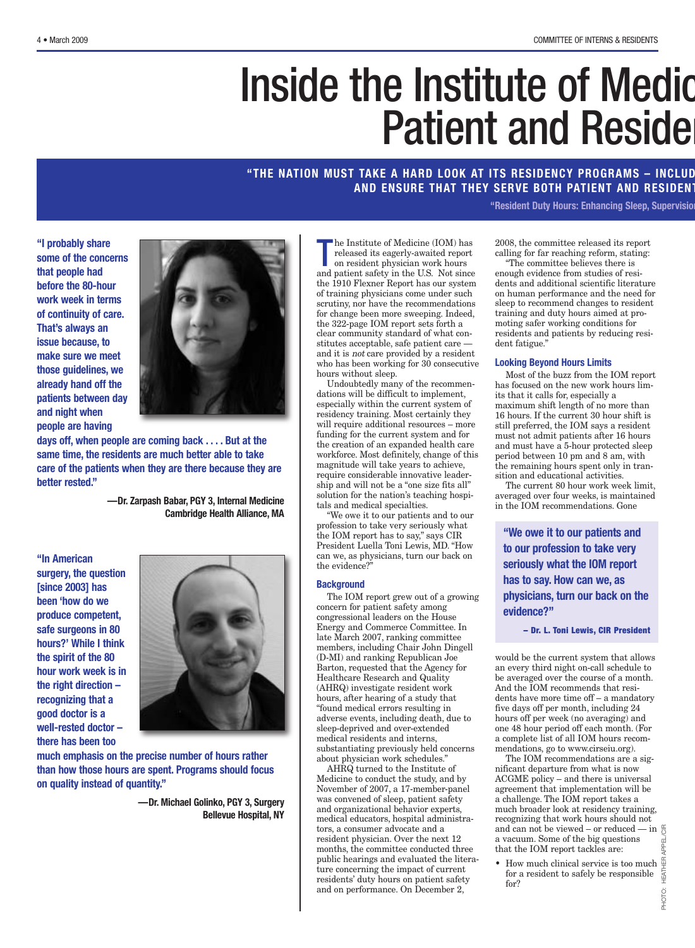# Inside the Institute of Medic **Patient and Reside**

#### **"THE NATION MUST TAKE A HARD LOOK AT ITS RESIDENCY PROGRAMS – INCLUD AND ENSURE THAT THEY SERVE BOTH PATIENT AND RESIDENT**

**"Resident Duty Hours: Enhancing Sleep, Supervision**

**"I probably share some of the concerns that people had before the 80-hour work week in terms of continuity of care. That's always an issue because, to make sure we meet those guidelines, we already hand off the patients between day and night when people are having**



**days off, when people are coming back . . . . But at the same time, the residents are much better able to take care of the patients when they are there because they are better rested."**

> **—Dr. Zarpash Babar, PGY 3, Internal Medicine Cambridge Health Alliance, MA**

**"In American surgery, the question [since 2003] has been 'how do we produce competent, safe surgeons in 80 hours?' While I think the spirit of the 80 hour work week is in the right direction – recognizing that a good doctor is a well-rested doctor – there has been too**



**much emphasis on the precise number of hours rather than how those hours are spent. Programs should focus on quality instead of quantity."**

> **—Dr. Michael Golinko, PGY 3, Surgery Bellevue Hospital, NY**

The Institute of Medicine (IOM) has<br>released its eagerly-awaited report<br>on resident physician work hours<br>and patient safety in the U.S. Not since he Institute of Medicine (IOM) has released its eagerly-awaited report on resident physician work hours the 1910 Flexner Report has our system of training physicians come under such scrutiny, nor have the recommendations for change been more sweeping. Indeed, the 322-page IOM report sets forth a clear community standard of what constitutes acceptable, safe patient care and it is not care provided by a resident who has been working for 30 consecutive hours without sleep.

Undoubtedly many of the recommendations will be difficult to implement, especially within the current system of residency training. Most certainly they will require additional resources – more funding for the current system and for the creation of an expanded health care workforce. Most definitely, change of this magnitude will take years to achieve, require considerable innovative leadership and will not be a "one size fits all" solution for the nation's teaching hospitals and medical specialties.

"We owe it to our patients and to our profession to take very seriously what the IOM report has to say," says CIR President Luella Toni Lewis, MD. "How can we, as physicians, turn our back on the evidence?"

#### **Background**

The IOM report grew out of a growing concern for patient safety among congressional leaders on the House Energy and Commerce Committee. In late March 2007, ranking committee members, including Chair John Dingell (D-MI) and ranking Republican Joe Barton, requested that the Agency for Healthcare Research and Quality (AHRQ) investigate resident work hours, after hearing of a study that "found medical errors resulting in adverse events, including death, due to sleep-deprived and over-extended medical residents and interns, substantiating previously held concerns about physician work schedules."

AHRQ turned to the Institute of Medicine to conduct the study, and by November of 2007, a 17-member-panel was convened of sleep, patient safety and organizational behavior experts, medical educators, hospital administrators, a consumer advocate and a resident physician. Over the next 12 months, the committee conducted three public hearings and evaluated the literature concerning the impact of current residents' duty hours on patient safety and on performance. On December 2,

2008, the committee released its report calling for far reaching reform, stating:

"The committee believes there is enough evidence from studies of residents and additional scientific literature on human performance and the need for sleep to recommend changes to resident training and duty hours aimed at promoting safer working conditions for residents and patients by reducing resident fatigue."

#### **Looking Beyond Hours Limits**

Most of the buzz from the IOM report has focused on the new work hours limits that it calls for, especially a maximum shift length of no more than 16 hours. If the current 30 hour shift is still preferred, the IOM says a resident must not admit patients after 16 hours and must have a 5-hour protected sleep period between 10 pm and 8 am, with the remaining hours spent only in transition and educational activities.

The current 80 hour work week limit, averaged over four weeks, is maintained in the IOM recommendations. Gone

**"We owe it to our patients and to our profession to take very seriously what the IOM report has to say. How can we, as physicians, turn our back on the evidence?"**

**– Dr. L. Toni Lewis, CIR President**

would be the current system that allows an every third night on-call schedule to be averaged over the course of a month. And the IOM recommends that residents have more time off – a mandatory five days off per month, including 24 hours off per week (no averaging) and one 48 hour period off each month. (For a complete list of all IOM hours recommendations, go to www.cirseiu.org).

The IOM recommendations are a significant departure from what is now ACGME policy – and there is universal agreement that implementation will be a challenge. The IOM report takes a much broader look at residency training, recognizing that work hours should not and can not be viewed – or reduced — in  $\frac{\alpha}{\zeta}$ a vacuum. Some of the big questions that the IOM report tackles are:

• How much clinical service is too much for a resident to safely be responsible for?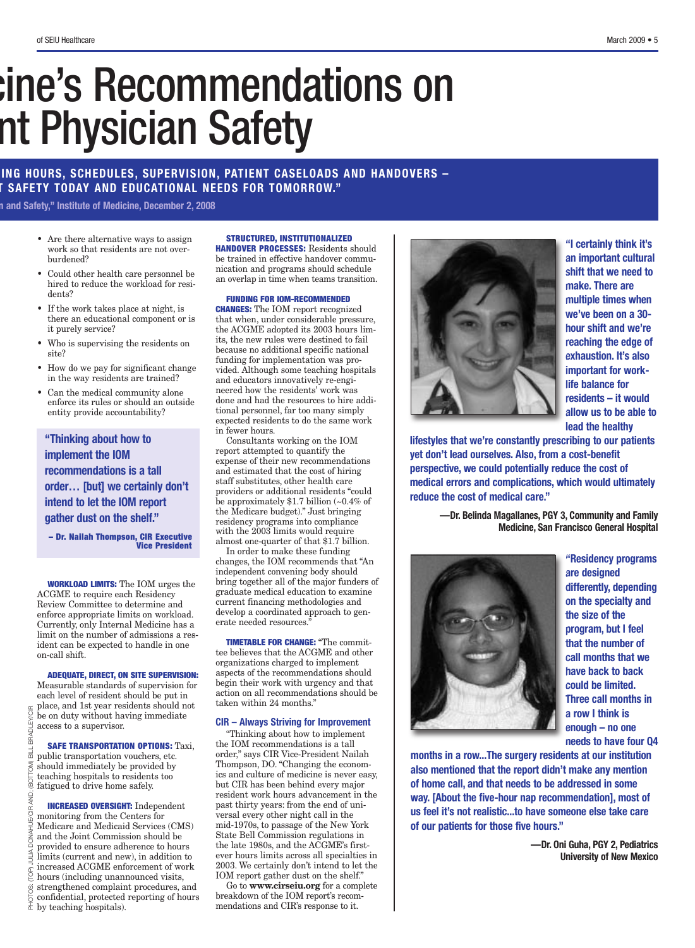## cine's Recommendations on nt Physician Safety

#### **ING HOURS, SCHEDULES, SUPERVISION, PATIENT CASELOADS AND HANDOVERS – T SAFETY TODAY AND EDUCATIONAL NEEDS FOR TOMORROW."**

**n and Safety," Institute of Medicine, December 2, 2008**

- Are there alternative ways to assign work so that residents are not overburdened?
- Could other health care personnel be hired to reduce the workload for residents?
- If the work takes place at night, is there an educational component or is it purely service?
- Who is supervising the residents on site?
- How do we pay for significant change in the way residents are trained?
- Can the medical community alone enforce its rules or should an outside entity provide accountability?

**"Thinking about how to implement the IOM recommendations is a tall order… [but] we certainly don't intend to let the IOM report gather dust on the shelf."**

**– Dr. Nailah Thompson, CIR Executive Vice President**

**WORKLOAD LIMITS:** The IOM urges the ACGME to require each Residency Review Committee to determine and enforce appropriate limits on workload. Currently, only Internal Medicine has a limit on the number of admissions a resident can be expected to handle in one on-call shift.

#### **ADEQUATE, DIRECT, ON SITE SUPERVISION:**

Measurable standards of supervision for each level of resident should be put in place, and 1st year residents should not be on duty without having immediate access to a supervisor. PHOTOS: (TOP) JULIA DONAHUE/CIR AND; (BOTTOM) BILL BRADLEY/CIR

**BRADLEY/CIR** 

 $\frac{1}{\overline{10}}$ 

(BOTTOM)

AND; ЭЭ

 $\frac{4}{1}$ 

**SAFE TRANSPORTATION OPTIONS:** Taxi, public transportation vouchers, etc. should immediately be provided by teaching hospitals to residents too fatigued to drive home safely.

**INCREASED OVERSIGHT:** Independent monitoring from the Centers for Medicare and Medicaid Services (CMS) and the Joint Commission should be provided to ensure adherence to hours limits (current and new), in addition to increased ACGME enforcement of work hours (including unannounced visits, strengthened complaint procedures, and confidential, protected reporting of hours  $\frac{\ddot{\otimes}}{\doteq}$  confidential, protected  $\frac{1}{\ddot{\uparrow}}$  by teaching hospitals).

#### **STRUCTURED, INSTITUTIONALIZED**

**HANDOVER PROCESSES:** Residents should be trained in effective handover communication and programs should schedule an overlap in time when teams transition.

#### **FUNDING FOR IOM-RECOMMENDED**

**CHANGES:** The IOM report recognized that when, under considerable pressure, the ACGME adopted its 2003 hours limits, the new rules were destined to fail because no additional specific national funding for implementation was provided. Although some teaching hospitals and educators innovatively re-engineered how the residents' work was done and had the resources to hire additional personnel, far too many simply expected residents to do the same work in fewer hours.

Consultants working on the IOM report attempted to quantify the expense of their new recommendations and estimated that the cost of hiring staff substitutes, other health care providers or additional residents "could be approximately \$1.7 billion (~0.4% of the Medicare budget)." Just bringing residency programs into compliance with the 2003 limits would require almost one-quarter of that \$1.7 billion.

In order to make these funding changes, the IOM recommends that "An independent convening body should bring together all of the major funders of graduate medical education to examine current financing methodologies and develop a coordinated approach to generate needed resources."

**TIMETABLE FOR CHANGE:** "The committee believes that the ACGME and other organizations charged to implement aspects of the recommendations should begin their work with urgency and that action on all recommendations should be taken within 24 months."

#### **CIR – Always Striving for Improvement**

"Thinking about how to implement the IOM recommendations is a tall order," says CIR Vice-President Nailah Thompson, DO. "Changing the economics and culture of medicine is never easy, but CIR has been behind every major resident work hours advancement in the past thirty years: from the end of universal every other night call in the mid-1970s, to passage of the New York State Bell Commission regulations in the late 1980s, and the ACGME's firstever hours limits across all specialties in 2003. We certainly don't intend to let the IOM report gather dust on the shelf."

Go to **www.cirseiu.org** for a complete breakdown of the IOM report's recommendations and CIR's response to it.



**"I certainly think it's an important cultural shift that we need to make. There are multiple times when we've been on a 30 hour shift and we're reaching the edge of exhaustion. It's also important for worklife balance for residents – it would allow us to be able to lead the healthy**

**lifestyles that we're constantly prescribing to our patients yet don't lead ourselves. Also, from a cost-benefit perspective, we could potentially reduce the cost of medical errors and complications, which would ultimately reduce the cost of medical care."**

> **—Dr. Belinda Magallanes, PGY 3, Community and Family Medicine, San Francisco General Hospital**



**"Residency programs are designed differently, depending on the specialty and the size of the program, but I feel that the number of call months that we have back to back could be limited. Three call months in a row I think is enough – no one needs to have four Q4**

**months in a row...The surgery residents at our institution also mentioned that the report didn't make any mention of home call, and that needs to be addressed in some way. [About the five-hour nap recommendation], most of us feel it's not realistic...to have someone else take care of our patients for those five hours."**

> **—Dr. Oni Guha, PGY 2, Pediatrics University of New Mexico**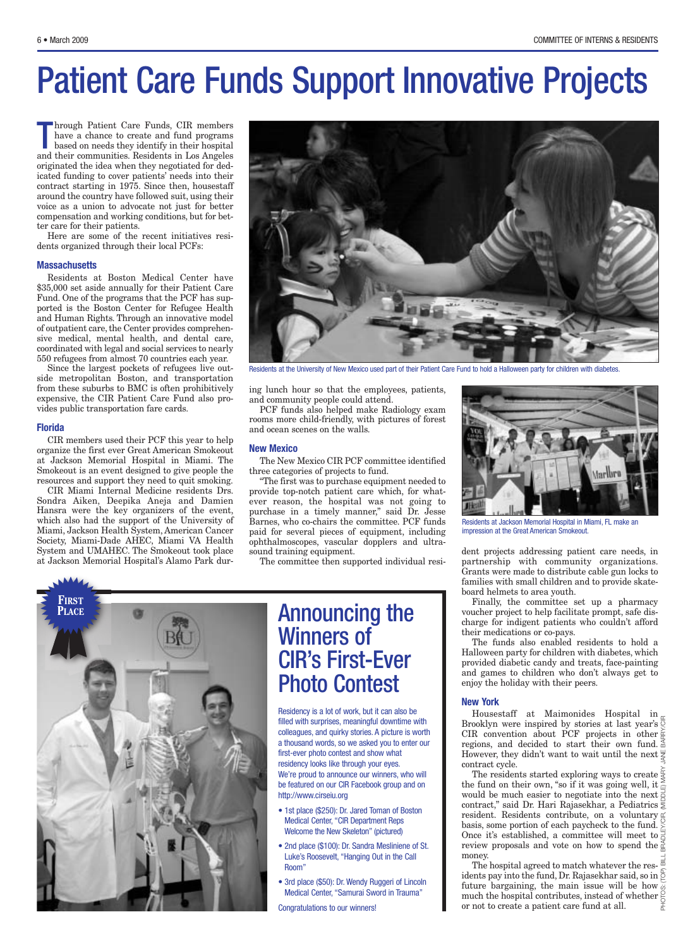## Patient Care Funds Support Innovative Projects

hrough Patient Care Funds, CIR members<br>have a chance to create and fund programs<br>based on needs they identify in their hospital<br>and their communities. Residents in Los Angeles hrough Patient Care Funds, CIR members have a chance to create and fund programs based on needs they identify in their hospital originated the idea when they negotiated for dedicated funding to cover patients' needs into their contract starting in 1975. Since then, housestaff around the country have followed suit, using their voice as a union to advocate not just for better compensation and working conditions, but for better care for their patients.

Here are some of the recent initiatives residents organized through their local PCFs:

#### **Massachusetts**

Residents at Boston Medical Center have \$35,000 set aside annually for their Patient Care Fund. One of the programs that the PCF has supported is the Boston Center for Refugee Health and Human Rights. Through an innovative model of outpatient care, the Center provides comprehensive medical, mental health, and dental care, coordinated with legal and social services to nearly 550 refugees from almost 70 countries each year.

Since the largest pockets of refugees live outside metropolitan Boston, and transportation from these suburbs to BMC is often prohibitively expensive, the CIR Patient Care Fund also provides public transportation fare cards.

#### **Florida**

CIR members used their PCF this year to help organize the first ever Great American Smokeout at Jackson Memorial Hospital in Miami. The Smokeout is an event designed to give people the resources and support they need to quit smoking.

CIR Miami Internal Medicine residents Drs. Sondra Aiken, Deepika Aneja and Damien Hansra were the key organizers of the event, which also had the support of the University of Miami, Jackson Health System, American Cancer Society, Miami-Dade AHEC, Miami VA Health System and UMAHEC. The Smokeout took place at Jackson Memorial Hospital's Alamo Park dur-



Residents at the University of New Mexico used part of their Patient Care Fund to hold a Halloween party for children with diabetes.

ing lunch hour so that the employees, patients, and community people could attend.

PCF funds also helped make Radiology exam rooms more child-friendly, with pictures of forest and ocean scenes on the walls.

#### **New Mexico**

The New Mexico CIR PCF committee identified three categories of projects to fund.

"The first was to purchase equipment needed to provide top-notch patient care which, for whatever reason, the hospital was not going to purchase in a timely manner," said Dr. Jesse Barnes, who co-chairs the committee. PCF funds paid for several pieces of equipment, including ophthalmoscopes, vascular dopplers and ultrasound training equipment.

The committee then supported individual resi-



### Announcing the Winners of CIR's First-Ever Photo Contest

Residency is a lot of work, but it can also be filled with surprises, meaningful downtime with colleagues, and quirky stories. A picture is worth a thousand words, so we asked you to enter our first-ever photo contest and show what residency looks like through your eyes. We're proud to announce our winners, who will be featured on our CIR Facebook group and on http://www.cirseiu.org

- 1st place (\$250): Dr. Jared Toman of Boston Medical Center, "CIR Department Reps Welcome the New Skeleton" (pictured)
- 2nd place (\$100): Dr. Sandra Mesliniene of St. Luke's Roosevelt, "Hanging Out in the Call
- 3rd place (\$50): Dr. Wendy Ruggeri of Lincoln Medical Center, "Samurai Sword in Trauma"

Congratulations to our winners!



Residents at Jackson Memorial Hospital in Miami, FL make an impression at the Great American Smokeout.

dent projects addressing patient care needs, in partnership with community organizations. Grants were made to distribute cable gun locks to families with small children and to provide skateboard helmets to area youth.

Finally, the committee set up a pharmacy voucher project to help facilitate prompt, safe discharge for indigent patients who couldn't afford their medications or co-pays.

The funds also enabled residents to hold a Halloween party for children with diabetes, which provided diabetic candy and treats, face-painting and games to children who don't always get to enjoy the holiday with their peers.

#### **New York**

Housestaff at Maimonides Hospital in Brooklyn were inspired by stories at last year's CIR convention about PCF projects in other  $\frac{c}{r}$ regions, and decided to start their own fund.  $\overline{a}$ However, they didn't want to wait until the next  $\frac{11}{6}$ contract cycle.

The residents started exploring ways to create  $\frac{z}{3}$ the fund on their own, "so if it was going well, it  $\frac{2}{\omega}$ would be much easier to negotiate into the next contract," said Dr. Hari Rajasekhar, a Pediatrics resident. Residents contribute, on a voluntary basis, some portion of each paycheck to the fund. Once it's established, a committee will meet to  $\frac{11}{6}$ review proposals and vote on how to spend the  $\frac{\alpha}{\beta}$ money. PHOTOS: (TOP) BILL BRADLEY/CIR, (MIDDLE) MARY JANE BARRY/CIR

The hospital agreed to match whatever the res- $\frac{1}{\alpha}$ idents pay into the fund, Dr. Rajasekhar said, so in  $\beta$ future bargaining, the main issue will be how much the hospital contributes, instead of whether or not to create a patient care fund at all.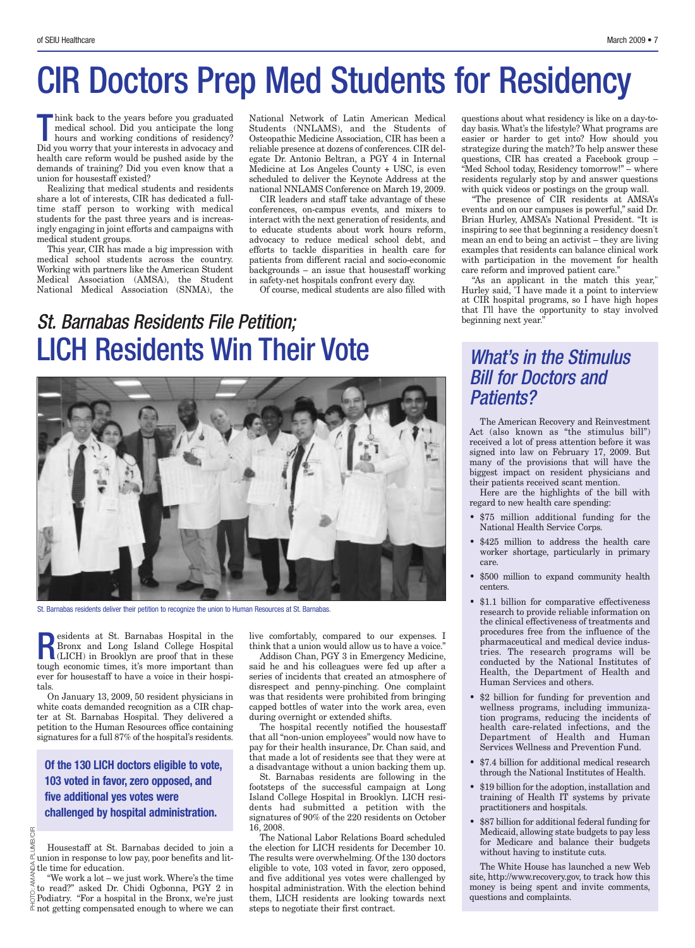## CIR Doctors Prep Med Students for Residency

hink back to the years before you graduated<br>
medical school. Did you anticipate the long<br>
hours and working conditions of residency?<br>
Did you worm that you interacts in advancement medical school. Did you anticipate the long hours and working conditions of residency? Did you worry that your interests in advocacy and health care reform would be pushed aside by the demands of training? Did you even know that a union for housestaff existed?

Realizing that medical students and residents share a lot of interests, CIR has dedicated a fulltime staff person to working with medical students for the past three years and is increasingly engaging in joint efforts and campaigns with medical student groups.

This year, CIR has made a big impression with medical school students across the country. Working with partners like the American Student Medical Association (AMSA), the Student National Medical Association (SNMA), the

National Network of Latin American Medical Students (NNLAMS), and the Students of Osteopathic Medicine Association, CIR has been a reliable presence at dozens of conferences. CIR delegate Dr. Antonio Beltran, a PGY 4 in Internal Medicine at Los Angeles County + USC, is even scheduled to deliver the Keynote Address at the national NNLAMS Conference on March 19, 2009.

CIR leaders and staff take advantage of these conferences, on-campus events, and mixers to interact with the next generation of residents, and to educate students about work hours reform, advocacy to reduce medical school debt, and efforts to tackle disparities in health care for patients from different racial and socio-economic backgrounds – an issue that housestaff working in safety-net hospitals confront every day.

Of course, medical students are also filled with

### *St. Barnabas Residents File Petition;* LICH Residents Win Their Vote *What's in the Stimulus*



St. Barnabas residents deliver their petition to recognize the union to Human Resources at St. Barnabas.

**Residents at St. Barnabas Hospital in the Bronx and Long Island College Hospital (LICH) in Brooklyn are proof that in these there is a more important than** Bronx and Long Island College Hospital (LICH) in Brooklyn are proof that in these tough economic times, it's more important than ever for housestaff to have a voice in their hospitals.

On January 13, 2009, 50 resident physicians in white coats demanded recognition as a CIR chapter at St. Barnabas Hospital. They delivered a petition to the Human Resources office containing signatures for a full 87% of the hospital's residents.

**Of the 130 LICH doctors eligible to vote, 103 voted in favor, zero opposed, and five additional yes votes were challenged by hospital administration.**

PLUMB/CIR Housestaff at St. Barnabas decided to join a union in response to low pay, poor benefits and lit- $\frac{1}{2}$  tle time for education.

PHOTO: AMANDA PLUMB/CIR "We work a lot – we just work. Where's the time to read?" asked Dr. Chidi Ogbonna, PGY 2 in  $\frac{\dot{\circ}}{\circ}$  To read? asked Dr. Child Ogbonna, PGY 2 in  $\frac{\dot{\circ}}{\circ}$  Podiatry. "For a hospital in the Bronx, we're just  $\frac{1}{\alpha}$  not getting compensated enough to where we can live comfortably, compared to our expenses. I think that a union would allow us to have a voice."

Addison Chan, PGY 3 in Emergency Medicine, said he and his colleagues were fed up after a series of incidents that created an atmosphere of disrespect and penny-pinching. One complaint was that residents were prohibited from bringing capped bottles of water into the work area, even during overnight or extended shifts.

The hospital recently notified the housestaff that all "non-union employees" would now have to pay for their health insurance, Dr. Chan said, and that made a lot of residents see that they were at a disadvantage without a union backing them up.

St. Barnabas residents are following in the otsteps of the successful campaign at Long Island College Hospital in Brooklyn. LICH residents had submitted a petition with the signatures of 90% of the 220 residents on October 16, 2008.

The National Labor Relations Board scheduled the election for LICH residents for December 10. The results were overwhelming. Of the 130 doctors eligible to vote, 103 voted in favor, zero opposed, and five additional yes votes were challenged by hospital administration. With the election behind them, LICH residents are looking towards next steps to negotiate their first contract.

questions about what residency is like on a day-today basis. What's the lifestyle? What programs are easier or harder to get into? How should you strategize during the match? To help answer these questions, CIR has created a Facebook group – "Med School today, Residency tomorrow!" – where residents regularly stop by and answer questions with quick videos or postings on the group wall.

"The presence of CIR residents at AMSA's events and on our campuses is powerful," said Dr. Brian Hurley, AMSA's National President. "It is inspiring to see that beginning a residency doesn't mean an end to being an activist – they are living examples that residents can balance clinical work with participation in the movement for health care reform and improved patient care."

"As an applicant in the match this year," Hurley said, "I have made it a point to interview at CIR hospital programs, so I have high hopes that I'll have the opportunity to stay involved beginning next year."

## *Bill for Doctors and Patients?*

The American Recovery and Reinvestment Act (also known as "the stimulus bill") received a lot of press attention before it was signed into law on February 17, 2009. But many of the provisions that will have the biggest impact on resident physicians and their patients received scant mention.

Here are the highlights of the bill with regard to new health care spending:

- \$75 million additional funding for the National Health Service Corps.
- \$425 million to address the health care worker shortage, particularly in primary care.
- \$500 million to expand community health centers.
- \$1.1 billion for comparative effectiveness research to provide reliable information on the clinical effectiveness of treatments and procedures free from the influence of the pharmaceutical and medical device industries. The research programs will be conducted by the National Institutes of Health, the Department of Health and Human Services and others.
- \$2 billion for funding for prevention and wellness programs, including immunization programs, reducing the incidents of health care-related infections, and the Department of Health and Human Services Wellness and Prevention Fund.
- \$7.4 billion for additional medical research through the National Institutes of Health.
- \$19 billion for the adoption, installation and training of Health IT systems by private practitioners and hospitals.
- \$87 billion for additional federal funding for Medicaid, allowing state budgets to pay less for Medicare and balance their budgets without having to institute cuts.

The White House has launched a new Web site, http://www.recovery.gov, to track how this money is being spent and invite comments, questions and complaints.